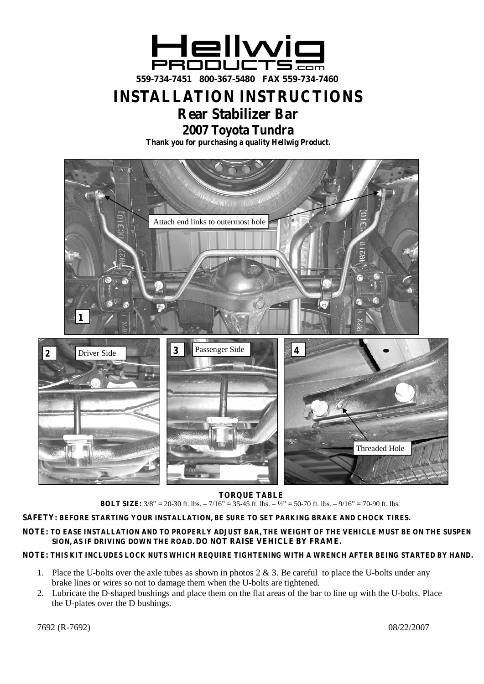

**INSTALLATION INSTRUCTIONS**

# **Rear Stabilizer Bar**

**2007 Toyota Tundra**

**Thank you for purchasing a quality Hellwig Product.**



## **TORQUE TABLE**

**BOLT SIZE:**  $3/8$ " = 20-30 ft. lbs. – 7/16" = 35-45 ft. lbs. –  $\frac{1}{2}$ " = 50-70 ft. lbs. – 9/16" = 70-90 ft. lbs.

## **SAFETY: BEFORE STARTING YOUR INSTALLATION, BE SURE TO SET PARKING BRAKE AND CHOCK TIRES.**

#### **NOTE: TO EASE INSTALLATION AND TO PROPERLY ADJUST BAR, THE WEIGHT OF THE VEHICLE MUST BE ON THE SUSPEN SION, AS IF DRIVING DOWN THE ROAD. DO NOT RAISE VEHICLE BY FRAME.**

## **NOTE: THIS KIT INCLUDES LOCK NUTS WHICH REQUIRE TIGHTENING WITH A WRENCH AFTER BEING STARTED BY HAND.**

- 1. Place the U-bolts over the axle tubes as shown in photos  $2 \& 3$ . Be careful to place the U-bolts under any brake lines or wires so not to damage them when the U-bolts are tightened.
- 2. Lubricate the D-shaped bushings and place them on the flat areas of the bar to line up with the U-bolts. Place the U-plates over the D bushings.

7692 (R-7692) 08/22/2007